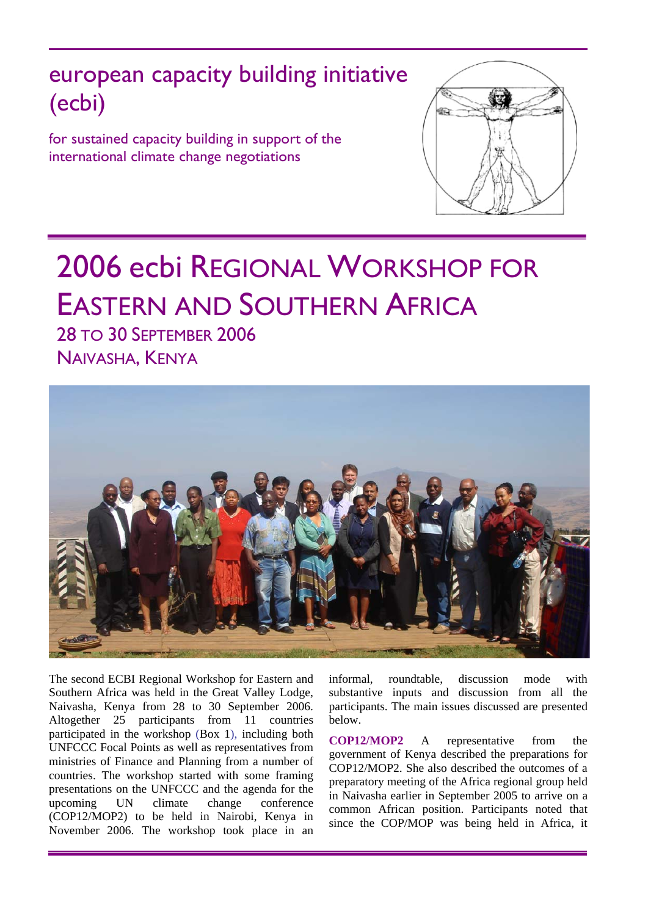european capacity building initiative (ecbi)

for sustained capacity building in support of the international climate change negotiations



# 2006 ecbi REGIONAL WORKSHOP FOR EASTERN AND SOUTHERN AFRICA

28 TO 30 SEPTEMBER 2006 NAIVASHA, KENYA



The second ECBI Regional Workshop for Eastern and Southern Africa was held in the Great Valley Lodge, Naivasha, Kenya from 28 to 30 September 2006. Altogether 25 participants from 11 countries participated in the workshop (Box 1), including both UNFCCC Focal Points as well as representatives from ministries of Finance and Planning from a number of countries. The workshop started with some framing presentations on the UNFCCC and the agenda for the upcoming UN climate change conference (COP12/MOP2) to be held in Nairobi, Kenya in November 2006. The workshop took place in an

informal, roundtable, discussion mode with substantive inputs and discussion from all the participants. The main issues discussed are presented below.

**COP12/MOP2** A representative from the government of Kenya described the preparations for COP12/MOP2. She also described the outcomes of a preparatory meeting of the Africa regional group held in Naivasha earlier in September 2005 to arrive on a common African position. Participants noted that since the COP/MOP was being held in Africa, it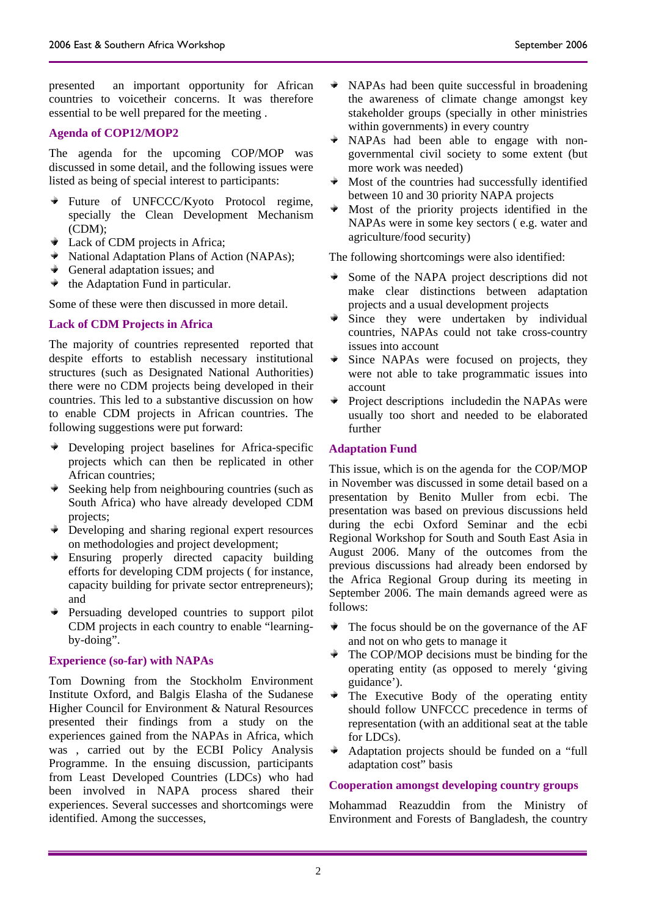presented an important opportunity for African countries to voicetheir concerns. It was therefore essential to be well prepared for the meeting .

## **Agenda of COP12/MOP2**

The agenda for the upcoming COP/MOP was discussed in some detail, and the following issues were listed as being of special interest to participants:

- Future of UNFCCC/Kyoto Protocol regime, specially the Clean Development Mechanism (CDM);
- Lack of CDM projects in Africa;
- National Adaptation Plans of Action (NAPAs);
- General adaptation issues; and
- $\bullet$  the Adaptation Fund in particular.

Some of these were then discussed in more detail.

## **Lack of CDM Projects in Africa**

The majority of countries represented reported that despite efforts to establish necessary institutional structures (such as Designated National Authorities) there were no CDM projects being developed in their countries. This led to a substantive discussion on how to enable CDM projects in African countries. The following suggestions were put forward:

- Developing project baselines for Africa-specific projects which can then be replicated in other African countries;
- $\bullet$  Seeking help from neighbouring countries (such as South Africa) who have already developed CDM projects;
- $\bullet$  Developing and sharing regional expert resources on methodologies and project development;
- Ensuring properly directed capacity building efforts for developing CDM projects ( for instance, capacity building for private sector entrepreneurs); and
- Persuading developed countries to support pilot CDM projects in each country to enable "learningby-doing".

## **Experience (so-far) with NAPAs**

Tom Downing from the Stockholm Environment Institute Oxford, and Balgis Elasha of the Sudanese Higher Council for Environment & Natural Resources presented their findings from a study on the experiences gained from the NAPAs in Africa, which was , carried out by the ECBI Policy Analysis Programme. In the ensuing discussion, participants from Least Developed Countries (LDCs) who had been involved in NAPA process shared their experiences. Several successes and shortcomings were identified. Among the successes,

- ÷ NAPAs had been quite successful in broadening the awareness of climate change amongst key stakeholder groups (specially in other ministries within governments) in every country
- $\frac{1}{2}$ NAPAs had been able to engage with nongovernmental civil society to some extent (but more work was needed)
- Most of the countries had successfully identified between 10 and 30 priority NAPA projects
- ÷ Most of the priority projects identified in the NAPAs were in some key sectors ( e.g. water and agriculture/food security)

The following shortcomings were also identified:

- Some of the NAPA project descriptions did not make clear distinctions between adaptation projects and a usual development projects
- ÷ Since they were undertaken by individual countries, NAPAs could not take cross-country issues into account
- ÷. Since NAPAs were focused on projects, they were not able to take programmatic issues into account
- ÷. Project descriptions includedin the NAPAs were usually too short and needed to be elaborated further

## **Adaptation Fund**

This issue, which is on the agenda for the COP/MOP in November was discussed in some detail based on a presentation by Benito Muller from ecbi. The presentation was based on previous discussions held during the ecbi Oxford Seminar and the ecbi Regional Workshop for South and South East Asia in August 2006. Many of the outcomes from the previous discussions had already been endorsed by the Africa Regional Group during its meeting in September 2006. The main demands agreed were as follows:

- ÷. The focus should be on the governance of the AF and not on who gets to manage it
- $\ddot{\bullet}$ The COP/MOP decisions must be binding for the operating entity (as opposed to merely 'giving guidance').
- ÷ The Executive Body of the operating entity should follow UNFCCC precedence in terms of representation (with an additional seat at the table for LDCs).
- $\ddot{}$ Adaptation projects should be funded on a "full adaptation cost" basis

#### **Cooperation amongst developing country groups**

Mohammad Reazuddin from the Ministry of Environment and Forests of Bangladesh, the country